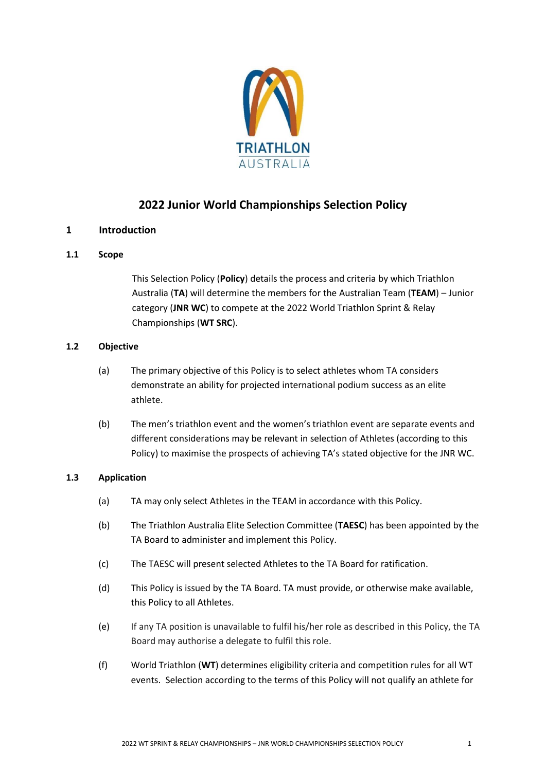

# **2022 Junior World Championships Selection Policy**

# **1 Introduction**

# **1.1 Scope**

This Selection Policy (**Policy**) details the process and criteria by which Triathlon Australia (**TA**) will determine the members for the Australian Team (**TEAM**) – Junior category (**JNR WC**) to compete at the 2022 World Triathlon Sprint & Relay Championships (**WT SRC**).

## **1.2 Objective**

- (a) The primary objective of this Policy is to select athletes whom TA considers demonstrate an ability for projected international podium success as an elite athlete.
- (b) The men's triathlon event and the women's triathlon event are separate events and different considerations may be relevant in selection of Athletes (according to this Policy) to maximise the prospects of achieving TA's stated objective for the JNR WC.

# **1.3 Application**

- (a) TA may only select Athletes in the TEAM in accordance with this Policy.
- (b) The Triathlon Australia Elite Selection Committee (**TAESC**) has been appointed by the TA Board to administer and implement this Policy.
- (c) The TAESC will present selected Athletes to the TA Board for ratification.
- (d) This Policy is issued by the TA Board. TA must provide, or otherwise make available, this Policy to all Athletes.
- (e) If any TA position is unavailable to fulfil his/her role as described in this Policy, the TA Board may authorise a delegate to fulfil this role.
- (f) World Triathlon (**WT**) determines eligibility criteria and competition rules for all WT events. Selection according to the terms of this Policy will not qualify an athlete for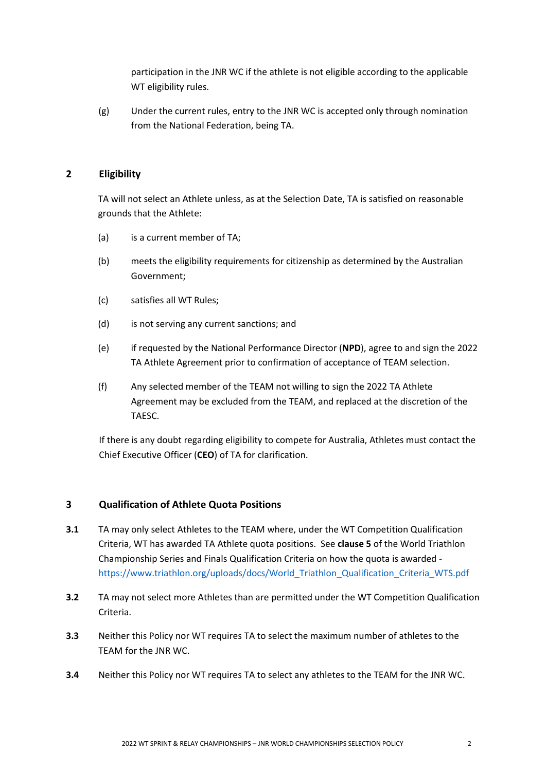participation in the JNR WC if the athlete is not eligible according to the applicable WT eligibility rules.

(g) Under the current rules, entry to the JNR WC is accepted only through nomination from the National Federation, being TA.

# **2 Eligibility**

TA will not select an Athlete unless, as at the Selection Date, TA is satisfied on reasonable grounds that the Athlete:

- (a) is a current member of TA;
- (b) meets the eligibility requirements for citizenship as determined by the Australian Government;
- (c) satisfies all WT Rules;
- (d) is not serving any current sanctions; and
- (e) if requested by the National Performance Director (**NPD**), agree to and sign the 2022 TA Athlete Agreement prior to confirmation of acceptance of TEAM selection.
- (f) Any selected member of the TEAM not willing to sign the 2022 TA Athlete Agreement may be excluded from the TEAM, and replaced at the discretion of the TAESC.

If there is any doubt regarding eligibility to compete for Australia, Athletes must contact the Chief Executive Officer (**CEO**) of TA for clarification.

#### **3 Qualification of Athlete Quota Positions**

- **3.1** TA may only select Athletes to the TEAM where, under the WT Competition Qualification Criteria, WT has awarded TA Athlete quota positions. See **clause 5** of the World Triathlon Championship Series and Finals Qualification Criteria on how the quota is awarded [https://www.triathlon.org/uploads/docs/World\\_Triathlon\\_Qualification\\_Criteria\\_WTS.pdf](https://www.triathlon.org/uploads/docs/World_Triathlon_Qualification_Criteria_WTS.pdf)
- **3.2** TA may not select more Athletes than are permitted under the WT Competition Qualification Criteria.
- **3.3** Neither this Policy nor WT requires TA to select the maximum number of athletes to the TEAM for the JNR WC.
- **3.4** Neither this Policy nor WT requires TA to select any athletes to the TEAM for the JNR WC.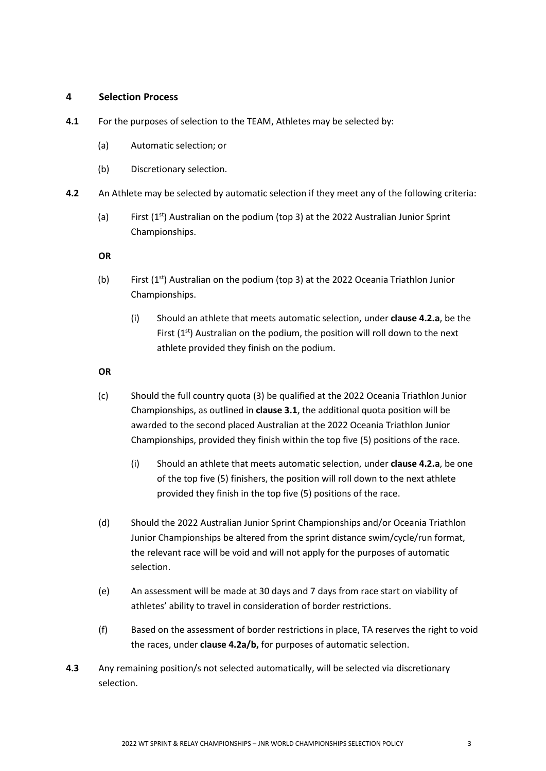#### **4 Selection Process**

- **4.1** For the purposes of selection to the TEAM, Athletes may be selected by:
	- (a) Automatic selection; or
	- (b) Discretionary selection.
- **4.2** An Athlete may be selected by automatic selection if they meet any of the following criteria:
	- (a) First  $(1^{st})$  Australian on the podium (top 3) at the 2022 Australian Junior Sprint Championships.

**OR**

- (b) First  $(1^{st})$  Australian on the podium (top 3) at the 2022 Oceania Triathlon Junior Championships.
	- (i) Should an athlete that meets automatic selection, under **clause 4.2.a**, be the First  $(1<sup>st</sup>)$  Australian on the podium, the position will roll down to the next athlete provided they finish on the podium.

#### **OR**

- (c) Should the full country quota (3) be qualified at the 2022 Oceania Triathlon Junior Championships, as outlined in **clause 3.1**, the additional quota position will be awarded to the second placed Australian at the 2022 Oceania Triathlon Junior Championships, provided they finish within the top five (5) positions of the race.
	- (i) Should an athlete that meets automatic selection, under **clause 4.2.a**, be one of the top five (5) finishers, the position will roll down to the next athlete provided they finish in the top five (5) positions of the race.
- (d) Should the 2022 Australian Junior Sprint Championships and/or Oceania Triathlon Junior Championships be altered from the sprint distance swim/cycle/run format, the relevant race will be void and will not apply for the purposes of automatic selection.
- (e) An assessment will be made at 30 days and 7 days from race start on viability of athletes' ability to travel in consideration of border restrictions.
- (f) Based on the assessment of border restrictions in place, TA reserves the right to void the races, under **clause 4.2a/b,** for purposes of automatic selection.
- **4.3** Any remaining position/s not selected automatically, will be selected via discretionary selection.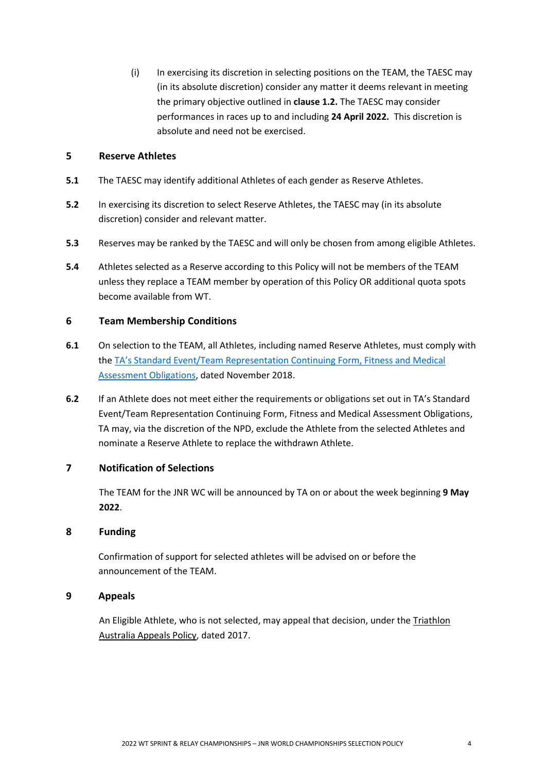(i) In exercising its discretion in selecting positions on the TEAM, the TAESC may (in its absolute discretion) consider any matter it deems relevant in meeting the primary objective outlined in **clause 1.2.** The TAESC may consider performances in races up to and including **24 April 2022.** This discretion is absolute and need not be exercised.

# **5 Reserve Athletes**

- **5.1** The TAESC may identify additional Athletes of each gender as Reserve Athletes.
- **5.2** In exercising its discretion to select Reserve Athletes, the TAESC may (in its absolute discretion) consider and relevant matter.
- **5.3** Reserves may be ranked by the TAESC and will only be chosen from among eligible Athletes.
- **5.4** Athletes selected as a Reserve according to this Policy will not be members of the TEAM unless they replace a TEAM member by operation of this Policy OR additional quota spots become available from WT.

## **6 Team Membership Conditions**

- **6.1** On selection to the TEAM, all Athletes, including named Reserve Athletes, must comply with the TA's Standard [Event/Team Representation Continuing Form, Fitness and Medical](http://www.triathlon.org.au/Assets/Triathlon+Australia+Digital+Assets/Athlete+Fitness+and+Medical+Obligations.pdf)  [Assessment Obligations,](http://www.triathlon.org.au/Assets/Triathlon+Australia+Digital+Assets/Athlete+Fitness+and+Medical+Obligations.pdf) dated November 2018.
- **6.2** If an Athlete does not meet either the requirements or obligations set out in TA's Standard Event/Team Representation Continuing Form, Fitness and Medical Assessment Obligations, TA may, via the discretion of the NPD, exclude the Athlete from the selected Athletes and nominate a Reserve Athlete to replace the withdrawn Athlete.

# **7 Notification of Selections**

The TEAM for the JNR WC will be announced by TA on or about the week beginning **9 May 2022**.

#### **8 Funding**

Confirmation of support for selected athletes will be advised on or before the announcement of the TEAM.

# **9 Appeals**

An Eligible Athlete, who is not selected, may appeal that decision, under th[e Triathlon](http://www.triathlon.org.au/Assets/Triathlon+Australia+Digital+Assets/2017+Triathlon+Australia+Appeals+Policy.pdf)  [Australia Appeals Policy,](http://www.triathlon.org.au/Assets/Triathlon+Australia+Digital+Assets/2017+Triathlon+Australia+Appeals+Policy.pdf) dated 2017.